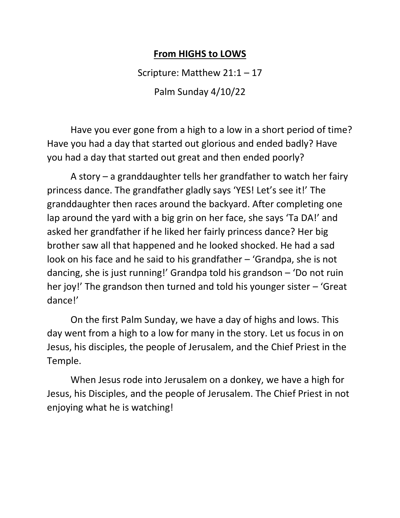## **From HIGHS to LOWS**

Scripture: Matthew 21:1 – 17

Palm Sunday 4/10/22

Have you ever gone from a high to a low in a short period of time? Have you had a day that started out glorious and ended badly? Have you had a day that started out great and then ended poorly?

A story – a granddaughter tells her grandfather to watch her fairy princess dance. The grandfather gladly says 'YES! Let's see it!' The granddaughter then races around the backyard. After completing one lap around the yard with a big grin on her face, she says 'Ta DA!' and asked her grandfather if he liked her fairly princess dance? Her big brother saw all that happened and he looked shocked. He had a sad look on his face and he said to his grandfather – 'Grandpa, she is not dancing, she is just running!' Grandpa told his grandson – 'Do not ruin her joy!' The grandson then turned and told his younger sister – 'Great dance!'

On the first Palm Sunday, we have a day of highs and lows. This day went from a high to a low for many in the story. Let us focus in on Jesus, his disciples, the people of Jerusalem, and the Chief Priest in the Temple.

When Jesus rode into Jerusalem on a donkey, we have a high for Jesus, his Disciples, and the people of Jerusalem. The Chief Priest in not enjoying what he is watching!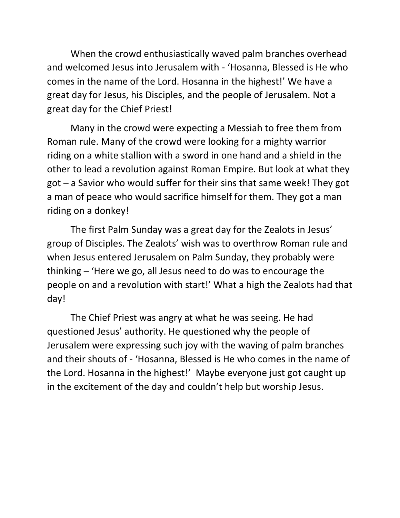When the crowd enthusiastically waved palm branches overhead and welcomed Jesus into Jerusalem with - 'Hosanna, Blessed is He who comes in the name of the Lord. Hosanna in the highest!' We have a great day for Jesus, his Disciples, and the people of Jerusalem. Not a great day for the Chief Priest!

Many in the crowd were expecting a Messiah to free them from Roman rule. Many of the crowd were looking for a mighty warrior riding on a white stallion with a sword in one hand and a shield in the other to lead a revolution against Roman Empire. But look at what they got – a Savior who would suffer for their sins that same week! They got a man of peace who would sacrifice himself for them. They got a man riding on a donkey!

The first Palm Sunday was a great day for the Zealots in Jesus' group of Disciples. The Zealots' wish was to overthrow Roman rule and when Jesus entered Jerusalem on Palm Sunday, they probably were thinking – 'Here we go, all Jesus need to do was to encourage the people on and a revolution with start!' What a high the Zealots had that day!

The Chief Priest was angry at what he was seeing. He had questioned Jesus' authority. He questioned why the people of Jerusalem were expressing such joy with the waving of palm branches and their shouts of - 'Hosanna, Blessed is He who comes in the name of the Lord. Hosanna in the highest!' Maybe everyone just got caught up in the excitement of the day and couldn't help but worship Jesus.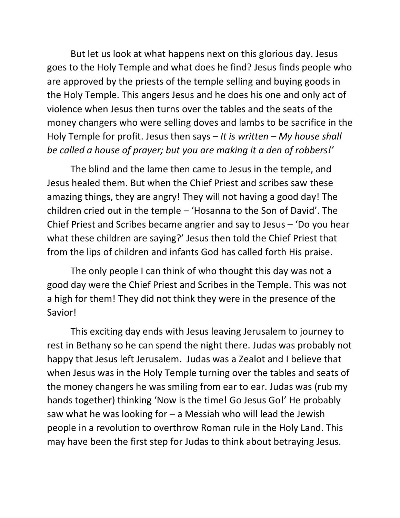But let us look at what happens next on this glorious day. Jesus goes to the Holy Temple and what does he find? Jesus finds people who are approved by the priests of the temple selling and buying goods in the Holy Temple. This angers Jesus and he does his one and only act of violence when Jesus then turns over the tables and the seats of the money changers who were selling doves and lambs to be sacrifice in the Holy Temple for profit. Jesus then says – *It is written – My house shall be called a house of prayer; but you are making it a den of robbers!'*

The blind and the lame then came to Jesus in the temple, and Jesus healed them. But when the Chief Priest and scribes saw these amazing things, they are angry! They will not having a good day! The children cried out in the temple – 'Hosanna to the Son of David'. The Chief Priest and Scribes became angrier and say to Jesus – 'Do you hear what these children are saying?' Jesus then told the Chief Priest that from the lips of children and infants God has called forth His praise.

The only people I can think of who thought this day was not a good day were the Chief Priest and Scribes in the Temple. This was not a high for them! They did not think they were in the presence of the Savior!

This exciting day ends with Jesus leaving Jerusalem to journey to rest in Bethany so he can spend the night there. Judas was probably not happy that Jesus left Jerusalem. Judas was a Zealot and I believe that when Jesus was in the Holy Temple turning over the tables and seats of the money changers he was smiling from ear to ear. Judas was (rub my hands together) thinking 'Now is the time! Go Jesus Go!' He probably saw what he was looking for – a Messiah who will lead the Jewish people in a revolution to overthrow Roman rule in the Holy Land. This may have been the first step for Judas to think about betraying Jesus.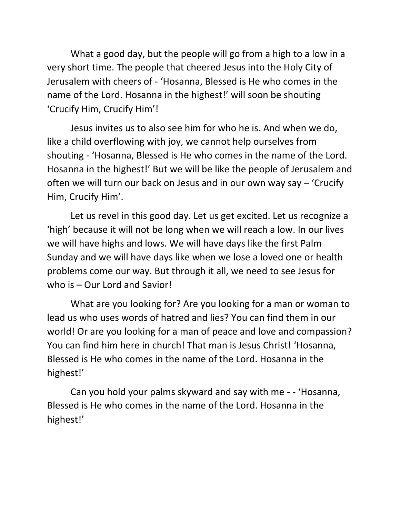What a good day, but the people will go from a high to a low in a very short time. The people that cheered Jesus into the Holy City of Jerusalem with cheers of - 'Hosanna, Blessed is He who comes in the name of the Lord. Hosanna in the highest!' will soon be shouting 'Crucify Him, Crucify Him'!

Jesus invites us to also see him for who he is. And when we do, like a child overflowing with joy, we cannot help ourselves from shouting - 'Hosanna, Blessed is He who comes in the name of the Lord. Hosanna in the highest!' But we will be like the people of Jerusalem and often we will turn our back on Jesus and in our own way say – 'Crucify Him, Crucify Him'.

Let us revel in this good day. Let us get excited. Let us recognize a 'high' because it will not be long when we will reach a low. In our lives we will have highs and lows. We will have days like the first Palm Sunday and we will have days like when we lose a loved one or health problems come our way. But through it all, we need to see Jesus for who is – Our Lord and Savior!

What are you looking for? Are you looking for a man or woman to lead us who uses words of hatred and lies? You can find them in our world! Or are you looking for a man of peace and love and compassion? You can find him here in church! That man is Jesus Christ! 'Hosanna, Blessed is He who comes in the name of the Lord. Hosanna in the highest!'

Can you hold your palms skyward and say with me - - 'Hosanna, Blessed is He who comes in the name of the Lord. Hosanna in the highest!'